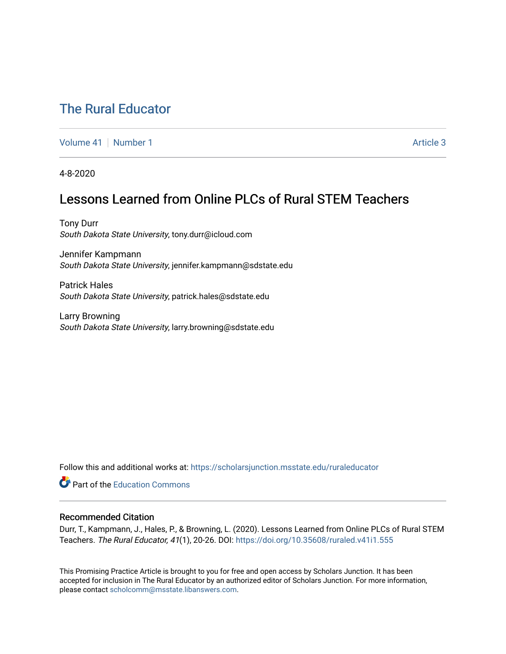# [The Rural Educator](https://scholarsjunction.msstate.edu/ruraleducator)

[Volume 41](https://scholarsjunction.msstate.edu/ruraleducator/vol41) [Number 1](https://scholarsjunction.msstate.edu/ruraleducator/vol41/iss1) Article 3

4-8-2020

# Lessons Learned from Online PLCs of Rural STEM Teachers

Tony Durr South Dakota State University, tony.durr@icloud.com

Jennifer Kampmann South Dakota State University, jennifer.kampmann@sdstate.edu

Patrick Hales South Dakota State University, patrick.hales@sdstate.edu

Larry Browning South Dakota State University, larry.browning@sdstate.edu

Follow this and additional works at: [https://scholarsjunction.msstate.edu/ruraleducator](https://scholarsjunction.msstate.edu/ruraleducator?utm_source=scholarsjunction.msstate.edu%2Fruraleducator%2Fvol41%2Fiss1%2F3&utm_medium=PDF&utm_campaign=PDFCoverPages)

**C** Part of the [Education Commons](http://network.bepress.com/hgg/discipline/784?utm_source=scholarsjunction.msstate.edu%2Fruraleducator%2Fvol41%2Fiss1%2F3&utm_medium=PDF&utm_campaign=PDFCoverPages)

# Recommended Citation

Durr, T., Kampmann, J., Hales, P., & Browning, L. (2020). Lessons Learned from Online PLCs of Rural STEM Teachers. The Rural Educator, 41(1), 20-26. DOI:<https://doi.org/10.35608/ruraled.v41i1.555>

This Promising Practice Article is brought to you for free and open access by Scholars Junction. It has been accepted for inclusion in The Rural Educator by an authorized editor of Scholars Junction. For more information, please contact [scholcomm@msstate.libanswers.com.](mailto:scholcomm@msstate.libanswers.com)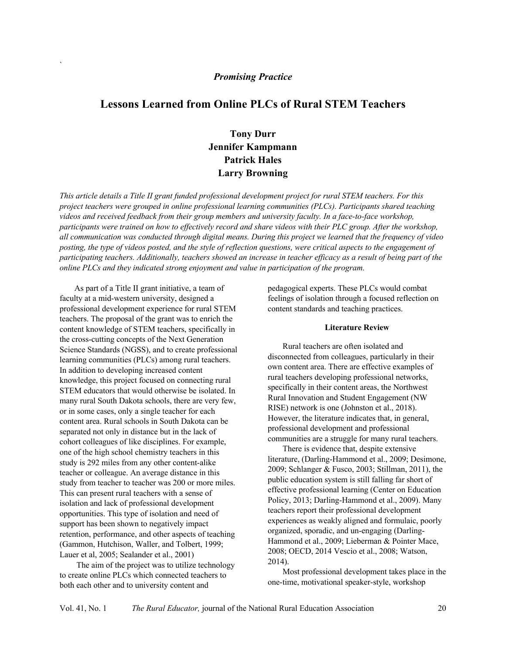# *Promising Practice*

# **Lessons Learned from Online PLCs of Rural STEM Teachers**

# **Tony Durr Jennifer Kampmann Patrick Hales Larry Browning**

*This article details a Title II grant funded professional development project for rural STEM teachers. For this project teachers were grouped in online professional learning communities (PLCs). Participants shared teaching videos and received feedback from their group members and university faculty. In a face-to-face workshop, participants were trained on how to effectively record and share videos with their PLC group. After the workshop, all communication was conducted through digital means. During this project we learned that the frequency of video posting, the type of videos posted, and the style of reflection questions, were critical aspects to the engagement of participating teachers. Additionally, teachers showed an increase in teacher efficacy as a result of being part of the online PLCs and they indicated strong enjoyment and value in participation of the program.* 

As part of a Title II grant initiative, a team of faculty at a mid-western university, designed a professional development experience for rural STEM teachers. The proposal of the grant was to enrich the content knowledge of STEM teachers, specifically in the cross-cutting concepts of the Next Generation Science Standards (NGSS), and to create professional learning communities (PLCs) among rural teachers. In addition to developing increased content knowledge, this project focused on connecting rural STEM educators that would otherwise be isolated. In many rural South Dakota schools, there are very few, or in some cases, only a single teacher for each content area. Rural schools in South Dakota can be separated not only in distance but in the lack of cohort colleagues of like disciplines. For example, one of the high school chemistry teachers in this study is 292 miles from any other content-alike teacher or colleague. An average distance in this study from teacher to teacher was 200 or more miles. This can present rural teachers with a sense of isolation and lack of professional development opportunities. This type of isolation and need of support has been shown to negatively impact retention, performance, and other aspects of teaching (Gammon, Hutchison, Waller, and Tolbert, 1999; Lauer et al, 2005; Sealander et al., 2001)

`

The aim of the project was to utilize technology to create online PLCs which connected teachers to both each other and to university content and

pedagogical experts. These PLCs would combat feelings of isolation through a focused reflection on content standards and teaching practices.

#### **Literature Review**

Rural teachers are often isolated and disconnected from colleagues, particularly in their own content area. There are effective examples of rural teachers developing professional networks, specifically in their content areas, the Northwest Rural Innovation and Student Engagement (NW RISE) network is one (Johnston et al., 2018). However, the literature indicates that, in general, professional development and professional communities are a struggle for many rural teachers.

There is evidence that, despite extensive literature, (Darling-Hammond et al., 2009; Desimone, 2009; Schlanger & Fusco, 2003; Stillman, 2011), the public education system is still falling far short of effective professional learning (Center on Education Policy, 2013; Darling-Hammond et al., 2009). Many teachers report their professional development experiences as weakly aligned and formulaic, poorly organized, sporadic, and un-engaging (Darling-Hammond et al., 2009; Lieberman & Pointer Mace, 2008; OECD, 2014 Vescio et al., 2008; Watson, 2014).

Most professional development takes place in the one-time, motivational speaker-style, workshop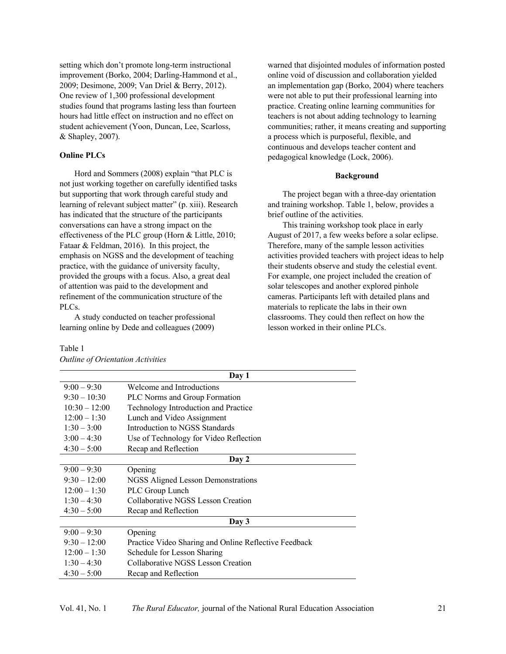setting which don't promote long-term instructional improvement (Borko, 2004; Darling-Hammond et al., 2009; Desimone, 2009; Van Driel & Berry, 2012). One review of 1,300 professional development studies found that programs lasting less than fourteen hours had little effect on instruction and no effect on student achievement (Yoon, Duncan, Lee, Scarloss, & Shapley, 2007).

# **Online PLCs**

Hord and Sommers (2008) explain "that PLC is not just working together on carefully identified tasks but supporting that work through careful study and learning of relevant subject matter" (p. xiii). Research has indicated that the structure of the participants conversations can have a strong impact on the effectiveness of the PLC group (Horn & Little, 2010; Fataar & Feldman, 2016). In this project, the emphasis on NGSS and the development of teaching practice, with the guidance of university faculty, provided the groups with a focus. Also, a great deal of attention was paid to the development and refinement of the communication structure of the PLCs.

A study conducted on teacher professional learning online by Dede and colleagues (2009)

# warned that disjointed modules of information posted online void of discussion and collaboration yielded an implementation gap (Borko, 2004) where teachers were not able to put their professional learning into practice. Creating online learning communities for teachers is not about adding technology to learning communities; rather, it means creating and supporting a process which is purposeful, flexible, and continuous and develops teacher content and pedagogical knowledge (Lock, 2006).

#### **Background**

The project began with a three-day orientation and training workshop. Table 1, below, provides a brief outline of the activities.

This training workshop took place in early August of 2017, a few weeks before a solar eclipse. Therefore, many of the sample lesson activities activities provided teachers with project ideas to help their students observe and study the celestial event. For example, one project included the creation of solar telescopes and another explored pinhole cameras. Participants left with detailed plans and materials to replicate the labs in their own classrooms. They could then reflect on how the lesson worked in their online PLCs.

|                 | Day 1                                                 |
|-----------------|-------------------------------------------------------|
| $9:00 - 9:30$   | Welcome and Introductions                             |
| $9:30 - 10:30$  | <b>PLC</b> Norms and Group Formation                  |
| $10:30 - 12:00$ | Technology Introduction and Practice                  |
| $12:00 - 1:30$  | Lunch and Video Assignment                            |
| $1:30 - 3:00$   | Introduction to NGSS Standards                        |
| $3:00 - 4:30$   | Use of Technology for Video Reflection                |
| $4:30 - 5:00$   | Recap and Reflection                                  |
|                 | Day 2                                                 |
| $9:00 - 9:30$   | Opening                                               |
| $9:30 - 12:00$  | NGSS Aligned Lesson Demonstrations                    |
| $12:00 - 1:30$  | PLC Group Lunch                                       |
| $1:30 - 4:30$   | Collaborative NGSS Lesson Creation                    |
| $4:30 - 5:00$   | Recap and Reflection                                  |
|                 | Day 3                                                 |
| $9:00 - 9:30$   | Opening                                               |
| $9:30 - 12:00$  | Practice Video Sharing and Online Reflective Feedback |
| $12:00 - 1:30$  | Schedule for Lesson Sharing                           |
| $1:30 - 4:30$   | Collaborative NGSS Lesson Creation                    |
| $4:30 - 5:00$   | Recap and Reflection                                  |

| Outline of Orientation Activities |  |
|-----------------------------------|--|

Table 1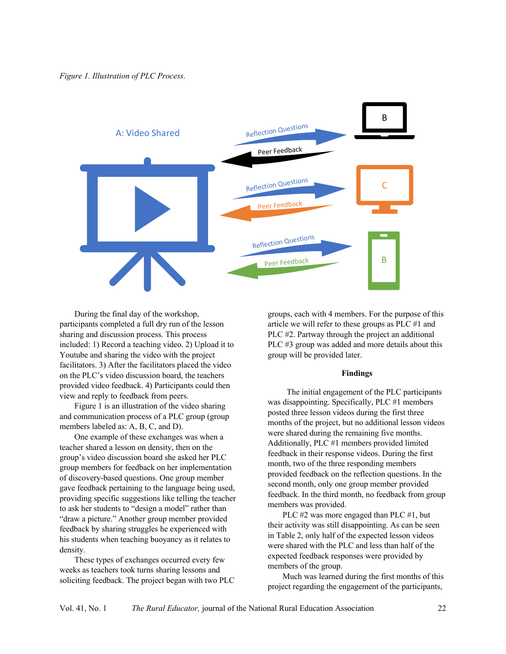

During the final day of the workshop, participants completed a full dry run of the lesson sharing and discussion process. This process included: 1) Record a teaching video. 2) Upload it to Youtube and sharing the video with the project facilitators. 3) After the facilitators placed the video on the PLC's video discussion board, the teachers provided video feedback. 4) Participants could then view and reply to feedback from peers.

Figure 1 is an illustration of the video sharing and communication process of a PLC group (group members labeled as: A, B, C, and D).

One example of these exchanges was when a teacher shared a lesson on density, then on the group's video discussion board she asked her PLC group members for feedback on her implementation of discovery-based questions. One group member gave feedback pertaining to the language being used, providing specific suggestions like telling the teacher to ask her students to "design a model" rather than "draw a picture." Another group member provided feedback by sharing struggles he experienced with his students when teaching buoyancy as it relates to density.

These types of exchanges occurred every few weeks as teachers took turns sharing lessons and soliciting feedback. The project began with two PLC groups, each with 4 members. For the purpose of this article we will refer to these groups as PLC #1 and PLC #2. Partway through the project an additional PLC #3 group was added and more details about this group will be provided later.

#### **Findings**

 The initial engagement of the PLC participants was disappointing. Specifically, PLC #1 members posted three lesson videos during the first three months of the project, but no additional lesson videos were shared during the remaining five months. Additionally, PLC #1 members provided limited feedback in their response videos. During the first month, two of the three responding members provided feedback on the reflection questions. In the second month, only one group member provided feedback. In the third month, no feedback from group members was provided.

PLC #2 was more engaged than PLC #1, but their activity was still disappointing. As can be seen in Table 2, only half of the expected lesson videos were shared with the PLC and less than half of the expected feedback responses were provided by members of the group.

Much was learned during the first months of this project regarding the engagement of the participants,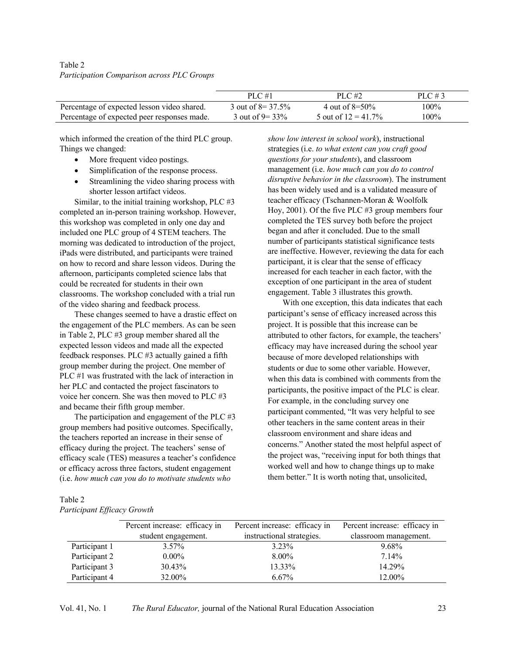| Table 2                                    |  |  |
|--------------------------------------------|--|--|
| Participation Comparison across PLC Groups |  |  |

|                                             | PLC#1                 | PLC $#2$               | PLC #3 |
|---------------------------------------------|-----------------------|------------------------|--------|
| Percentage of expected lesson video shared. | 3 out of $8 = 37.5\%$ | 4 out of $8=50\%$      | 100%   |
| Percentage of expected peer responses made. | 3 out of $9 = 33\%$   | 5 out of $12 = 41.7\%$ | 100%   |

which informed the creation of the third PLC group. Things we changed:

- More frequent video postings.
- Simplification of the response process.
- Streamlining the video sharing process with shorter lesson artifact videos.

Similar, to the initial training workshop, PLC #3 completed an in-person training workshop. However, this workshop was completed in only one day and included one PLC group of 4 STEM teachers. The morning was dedicated to introduction of the project, iPads were distributed, and participants were trained on how to record and share lesson videos. During the afternoon, participants completed science labs that could be recreated for students in their own classrooms. The workshop concluded with a trial run of the video sharing and feedback process.

These changes seemed to have a drastic effect on the engagement of the PLC members. As can be seen in Table 2, PLC #3 group member shared all the expected lesson videos and made all the expected feedback responses. PLC #3 actually gained a fifth group member during the project. One member of PLC #1 was frustrated with the lack of interaction in her PLC and contacted the project fascinators to voice her concern. She was then moved to PLC #3 and became their fifth group member.

The participation and engagement of the PLC #3 group members had positive outcomes. Specifically, the teachers reported an increase in their sense of efficacy during the project. The teachers' sense of efficacy scale (TES) measures a teacher's confidence or efficacy across three factors, student engagement (i.e. *how much can you do to motivate students who* 

*show low interest in school work*), instructional strategies (i.e. *to what extent can you craft good questions for your students*), and classroom management (i.e. *how much can you do to control disruptive behavior in the classroom*). The instrument has been widely used and is a validated measure of teacher efficacy (Tschannen-Moran & Woolfolk Hoy, 2001). Of the five PLC #3 group members four completed the TES survey both before the project began and after it concluded. Due to the small number of participants statistical significance tests are ineffective. However, reviewing the data for each participant, it is clear that the sense of efficacy increased for each teacher in each factor, with the exception of one participant in the area of student engagement. Table 3 illustrates this growth.

With one exception, this data indicates that each participant's sense of efficacy increased across this project. It is possible that this increase can be attributed to other factors, for example, the teachers' efficacy may have increased during the school year because of more developed relationships with students or due to some other variable. However, when this data is combined with comments from the participants, the positive impact of the PLC is clear. For example, in the concluding survey one participant commented, "It was very helpful to see other teachers in the same content areas in their classroom environment and share ideas and concerns." Another stated the most helpful aspect of the project was, "receiving input for both things that worked well and how to change things up to make them better." It is worth noting that, unsolicited,

### Table 2 *Participant Efficacy Growth*

|               | Percent increase: efficacy in | Percent increase: efficacy in | Percent increase: efficacy in |
|---------------|-------------------------------|-------------------------------|-------------------------------|
|               | student engagement.           | instructional strategies.     | classroom management.         |
| Participant 1 | $3.57\%$                      | $3.23\%$                      | 9.68%                         |
| Participant 2 | $0.00\%$                      | 8.00%                         | 7.14%                         |
| Participant 3 | 30.43%                        | 13.33%                        | 14.29%                        |
| Participant 4 | 32.00%                        | $6.67\%$                      | 12.00%                        |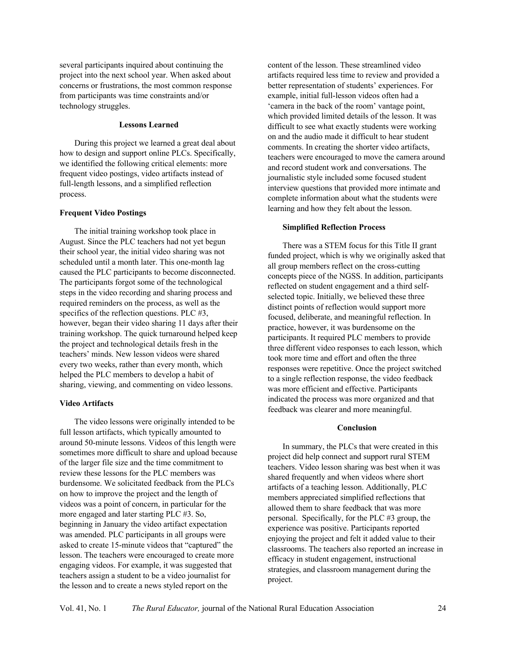several participants inquired about continuing the project into the next school year. When asked about concerns or frustrations, the most common response from participants was time constraints and/or technology struggles.

# **Lessons Learned**

During this project we learned a great deal about how to design and support online PLCs. Specifically, we identified the following critical elements: more frequent video postings, video artifacts instead of full-length lessons, and a simplified reflection process.

#### **Frequent Video Postings**

The initial training workshop took place in August. Since the PLC teachers had not yet begun their school year, the initial video sharing was not scheduled until a month later. This one-month lag caused the PLC participants to become disconnected. The participants forgot some of the technological steps in the video recording and sharing process and required reminders on the process, as well as the specifics of the reflection questions. PLC #3, however, began their video sharing 11 days after their training workshop. The quick turnaround helped keep the project and technological details fresh in the teachers' minds. New lesson videos were shared every two weeks, rather than every month, which helped the PLC members to develop a habit of sharing, viewing, and commenting on video lessons.

# **Video Artifacts**

The video lessons were originally intended to be full lesson artifacts, which typically amounted to around 50-minute lessons. Videos of this length were sometimes more difficult to share and upload because of the larger file size and the time commitment to review these lessons for the PLC members was burdensome. We solicitated feedback from the PLCs on how to improve the project and the length of videos was a point of concern, in particular for the more engaged and later starting PLC #3. So, beginning in January the video artifact expectation was amended. PLC participants in all groups were asked to create 15-minute videos that "captured" the lesson. The teachers were encouraged to create more engaging videos. For example, it was suggested that teachers assign a student to be a video journalist for the lesson and to create a news styled report on the

content of the lesson. These streamlined video artifacts required less time to review and provided a better representation of students' experiences. For example, initial full-lesson videos often had a 'camera in the back of the room' vantage point, which provided limited details of the lesson. It was difficult to see what exactly students were working on and the audio made it difficult to hear student comments. In creating the shorter video artifacts, teachers were encouraged to move the camera around and record student work and conversations. The journalistic style included some focused student interview questions that provided more intimate and complete information about what the students were learning and how they felt about the lesson.

## **Simplified Reflection Process**

There was a STEM focus for this Title II grant funded project, which is why we originally asked that all group members reflect on the cross-cutting concepts piece of the NGSS. In addition, participants reflected on student engagement and a third selfselected topic. Initially, we believed these three distinct points of reflection would support more focused, deliberate, and meaningful reflection. In practice, however, it was burdensome on the participants. It required PLC members to provide three different video responses to each lesson, which took more time and effort and often the three responses were repetitive. Once the project switched to a single reflection response, the video feedback was more efficient and effective. Participants indicated the process was more organized and that feedback was clearer and more meaningful.

## **Conclusion**

In summary, the PLCs that were created in this project did help connect and support rural STEM teachers. Video lesson sharing was best when it was shared frequently and when videos where short artifacts of a teaching lesson. Additionally, PLC members appreciated simplified reflections that allowed them to share feedback that was more personal. Specifically, for the PLC #3 group, the experience was positive. Participants reported enjoying the project and felt it added value to their classrooms. The teachers also reported an increase in efficacy in student engagement, instructional strategies, and classroom management during the project.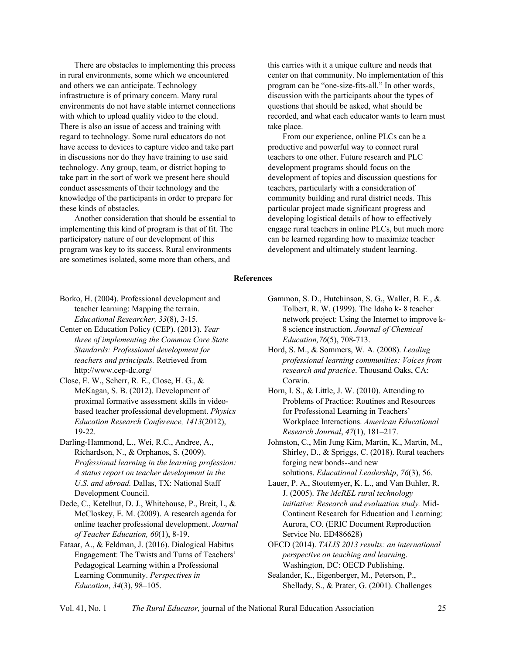There are obstacles to implementing this process in rural environments, some which we encountered and others we can anticipate. Technology infrastructure is of primary concern. Many rural environments do not have stable internet connections with which to upload quality video to the cloud. There is also an issue of access and training with regard to technology. Some rural educators do not have access to devices to capture video and take part in discussions nor do they have training to use said technology. Any group, team, or district hoping to take part in the sort of work we present here should conduct assessments of their technology and the knowledge of the participants in order to prepare for these kinds of obstacles.

Another consideration that should be essential to implementing this kind of program is that of fit. The participatory nature of our development of this program was key to its success. Rural environments are sometimes isolated, some more than others, and

this carries with it a unique culture and needs that center on that community. No implementation of this program can be "one-size-fits-all." In other words, discussion with the participants about the types of questions that should be asked, what should be recorded, and what each educator wants to learn must take place.

From our experience, online PLCs can be a productive and powerful way to connect rural teachers to one other. Future research and PLC development programs should focus on the development of topics and discussion questions for teachers, particularly with a consideration of community building and rural district needs. This particular project made significant progress and developing logistical details of how to effectively engage rural teachers in online PLCs, but much more can be learned regarding how to maximize teacher development and ultimately student learning.

#### **References**

- Borko, H. (2004). Professional development and teacher learning: Mapping the terrain. *Educational Researcher, 33*(8), 3-15.
- Center on Education Policy (CEP). (2013). *Year three of implementing the Common Core State Standards: Professional development for teachers and principals.* Retrieved from http://www.cep-dc.org/
- Close, E. W., Scherr, R. E., Close, H. G., & McKagan, S. B. (2012). Development of proximal formative assessment skills in videobased teacher professional development. *Physics Education Research Conference, 1413*(2012), 19-22.
- Darling-Hammond, L., Wei, R.C., Andree, A., Richardson, N., & Orphanos, S. (2009). *Professional learning in the learning profession: A status report on teacher development in the U.S. and abroad.* Dallas, TX: National Staff Development Council.
- Dede, C., Ketelhut, D. J., Whitehouse, P., Breit, L, & McCloskey, E. M. (2009). A research agenda for online teacher professional development. *Journal of Teacher Education, 60*(1), 8-19.
- Fataar, A., & Feldman, J. (2016). Dialogical Habitus Engagement: The Twists and Turns of Teachers' Pedagogical Learning within a Professional Learning Community. *Perspectives in Education*, *34*(3), 98–105.
- Gammon, S. D., Hutchinson, S. G., Waller, B. E., & Tolbert, R. W. (1999). The Idaho k- 8 teacher network project: Using the Internet to improve k-8 science instruction. *Journal of Chemical Education,76*(5), 708-713.
- Hord, S. M., & Sommers, W. A. (2008). *Leading professional learning communities: Voices from research and practice*. Thousand Oaks, CA: Corwin.
- Horn, I. S., & Little, J. W. (2010). Attending to Problems of Practice: Routines and Resources for Professional Learning in Teachers' Workplace Interactions. *American Educational Research Journal*, *47*(1), 181–217.
- Johnston, C., Min Jung Kim, Martin, K., Martin, M., Shirley, D., & Spriggs, C. (2018). Rural teachers forging new bonds--and new solutions. *Educational Leadership*, *76*(3), 56.
- Lauer, P. A., Stoutemyer, K. L., and Van Buhler, R. J. (2005). *The McREL rural technology initiative: Research and evaluation study.* Mid-Continent Research for Education and Learning: Aurora, CO. (ERIC Document Reproduction Service No. ED486628)
- OECD (2014). *TALIS 2013 results: an international perspective on teaching and learning*. Washington, DC: OECD Publishing.
- Sealander, K., Eigenberger, M., Peterson, P., Shellady, S., & Prater, G. (2001). Challenges